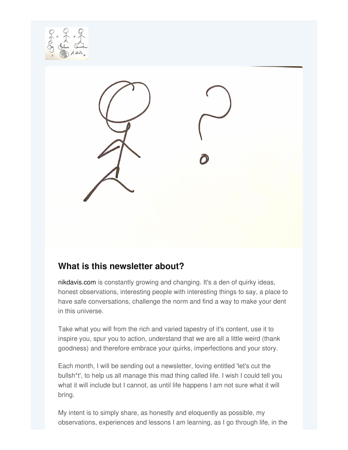



### **What is this newsletter about?**

[nikdavis.com](http://www.nikdavis.com) is constantly growing and changing. It's a den of quirky ideas, honest observations, interesting people with interesting things to say, a place to have safe conversations, challenge the norm and find a way to make your dent in this universe.

Take what you will from the rich and varied tapestry of it's content, use it to inspire you, spur you to action, understand that we are all a little weird (thank goodness) and therefore embrace your quirks, imperfections and your story.

Each month, I will be sending out a newsletter, loving entitled 'let's cut the bullsh\*t', to help us all manage this mad thing called life. I wish I could tell you what it will include but I cannot, as until life happens I am not sure what it will bring.

My intent is to simply share, as honestly and eloquently as possible, my observations, experiences and lessons I am learning, as I go through life, in the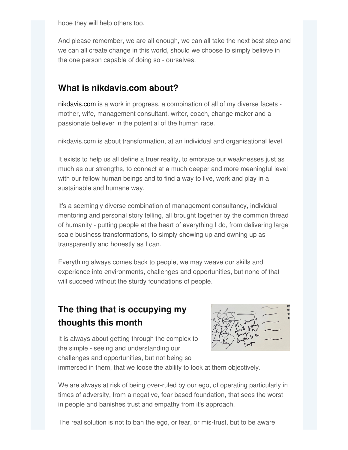hope they will help others too.

And please remember, we are all enough, we can all take the next best step and we can all create change in this world, should we choose to simply believe in the one person capable of doing so - ourselves.

### **What is nikdavis.com about?**

[nikdavis.com](http://www.nikdavis.com) is a work in progress, a combination of all of my diverse facets mother, wife, management consultant, writer, coach, change maker and a passionate believer in the potential of the human race.

nikdavis.com is about transformation, at an individual and organisational level.

It exists to help us all define a truer reality, to embrace our weaknesses just as much as our strengths, to connect at a much deeper and more meaningful level with our fellow human beings and to find a way to live, work and play in a sustainable and humane way.

It's a seemingly diverse combination of management consultancy, individual mentoring and personal story telling, all brought together by the common thread of humanity - putting people at the heart of everything I do, from delivering large scale business transformations, to simply showing up and owning up as transparently and honestly as I can.

Everything always comes back to people, we may weave our skills and experience into environments, challenges and opportunities, but none of that will succeed without the sturdy foundations of people.

# **The thing that is occupying my thoughts this month**



It is always about getting through the complex to the simple - seeing and understanding our challenges and opportunities, but not being so

immersed in them, that we loose the ability to look at them objectively.

We are always at risk of being over-ruled by our ego, of operating particularly in times of adversity, from a negative, fear based foundation, that sees the worst in people and banishes trust and empathy from it's approach.

The real solution is not to ban the ego, or fear, or mis-trust, but to be aware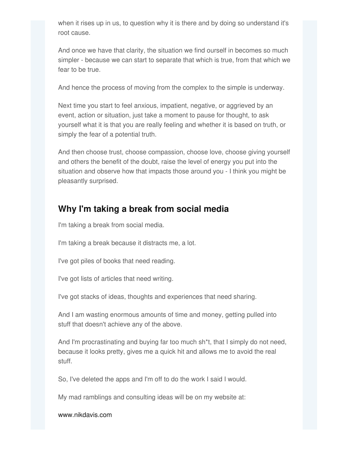when it rises up in us, to question why it is there and by doing so understand it's root cause.

And once we have that clarity, the situation we find ourself in becomes so much simpler - because we can start to separate that which is true, from that which we fear to be true.

And hence the process of moving from the complex to the simple is underway.

Next time you start to feel anxious, impatient, negative, or aggrieved by an event, action or situation, just take a moment to pause for thought, to ask yourself what it is that you are really feeling and whether it is based on truth, or simply the fear of a potential truth.

And then choose trust, choose compassion, choose love, choose giving yourself and others the benefit of the doubt, raise the level of energy you put into the situation and observe how that impacts those around you - I think you might be pleasantly surprised.

### **Why I'm taking a break from social media**

I'm taking a break from social media.

I'm taking a break because it distracts me, a lot.

I've got piles of books that need reading.

I've got lists of articles that need writing.

I've got stacks of ideas, thoughts and experiences that need sharing.

And I am wasting enormous amounts of time and money, getting pulled into stuff that doesn't achieve any of the above.

And I'm procrastinating and buying far too much sh\*t, that I simply do not need, because it looks pretty, gives me a quick hit and allows me to avoid the real stuff.

So, I've deleted the apps and I'm off to do the work I said I would.

My mad ramblings and consulting ideas will be on my website at:

[www.nikdavis.com](http://www.nikdavis.com)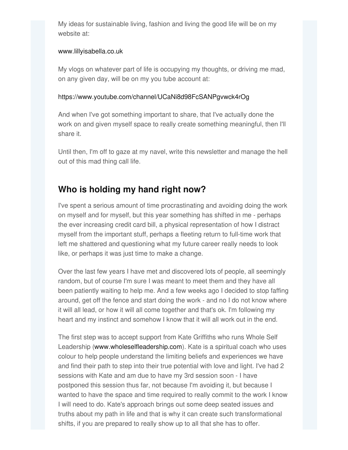My ideas for sustainable living, fashion and living the good life will be on my website at:

#### [www.lillyisabella.co.uk](http://www.lillyisabella.co.uk)

My vlogs on whatever part of life is occupying my thoughts, or driving me mad, on any given day, will be on my you tube account at:

#### [https://www.youtube.com/channel/UCaNi8d98FcSANPgvwck4rOg](https://lnkd.in/dTPaRgA)

And when I've got something important to share, that I've actually done the work on and given myself space to really create something meaningful, then I'll share it.

Until then, I'm off to gaze at my navel, write this newsletter and manage the hell out of this mad thing call life.

### **Who is holding my hand right now?**

I've spent a serious amount of time procrastinating and avoiding doing the work on myself and for myself, but this year something has shifted in me - perhaps the ever increasing credit card bill, a physical representation of how I distract myself from the important stuff, perhaps a fleeting return to full-time work that left me shattered and questioning what my future career really needs to look like, or perhaps it was just time to make a change.

Over the last few years I have met and discovered lots of people, all seemingly random, but of course I'm sure I was meant to meet them and they have all been patiently waiting to help me. And a few weeks ago I decided to stop faffing around, get off the fence and start doing the work - and no I do not know where it will all lead, or how it will all come together and that's ok. I'm following my heart and my instinct and somehow I know that it will all work out in the end.

The first step was to accept support from Kate Griffiths who runs Whole Self Leadership [\(www.wholeselfleadership.com](http://www.wholeselfleadership.com)). Kate is a spiritual coach who uses colour to help people understand the limiting beliefs and experiences we have and find their path to step into their true potential with love and light. I've had 2 sessions with Kate and am due to have my 3rd session soon - I have postponed this session thus far, not because I'm avoiding it, but because I wanted to have the space and time required to really commit to the work I know I will need to do. Kate's approach brings out some deep seated issues and truths about my path in life and that is why it can create such transformational shifts, if you are prepared to really show up to all that she has to offer.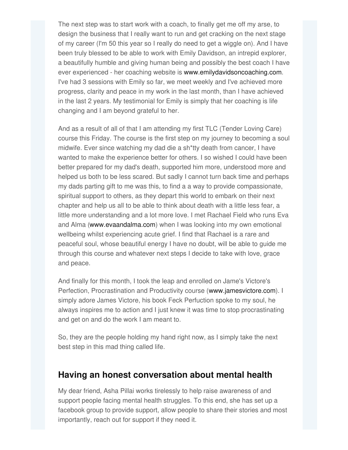The next step was to start work with a coach, to finally get me off my arse, to design the business that I really want to run and get cracking on the next stage of my career (I'm 50 this year so I really do need to get a wiggle on). And I have been truly blessed to be able to work with Emily Davidson, an intrepid explorer, a beautifully humble and giving human being and possibly the best coach I have ever experienced - her coaching website is [www.emilydavidsoncoaching.com](http://www.emilydavidsoncoaching.com). I've had 3 sessions with Emily so far, we meet weekly and I've achieved more progress, clarity and peace in my work in the last month, than I have achieved in the last 2 years. My testimonial for Emily is simply that her coaching is life changing and I am beyond grateful to her.

And as a result of all of that I am attending my first TLC (Tender Loving Care) course this Friday. The course is the first step on my journey to becoming a soul midwife. Ever since watching my dad die a sh\*tty death from cancer, I have wanted to make the experience better for others. I so wished I could have been better prepared for my dad's death, supported him more, understood more and helped us both to be less scared. But sadly I cannot turn back time and perhaps my dads parting gift to me was this, to find a a way to provide compassionate, spiritual support to others, as they depart this world to embark on their next chapter and help us all to be able to think about death with a little less fear, a little more understanding and a lot more love. I met Rachael Field who runs Eva and Alma [\(www.evaandalma.com](http://www.evaandalma.com)) when I was looking into my own emotional wellbeing whilst experiencing acute grief. I find that Rachael is a rare and peaceful soul, whose beautiful energy I have no doubt, will be able to guide me through this course and whatever next steps I decide to take with love, grace and peace.

And finally for this month, I took the leap and enrolled on Jame's Victore's Perfection, Procrastination and Productivity course [\(www.jamesvictore.com](http://www.jamesvictore.com)). I simply adore James Victore, his book Feck Perfuction spoke to my soul, he always inspires me to action and I just knew it was time to stop procrastinating and get on and do the work I am meant to.

So, they are the people holding my hand right now, as I simply take the next best step in this mad thing called life.

#### **Having an honest conversation about mental health**

My dear friend, Asha Pillai works tirelessly to help raise awareness of and support people facing mental health struggles. To this end, she has set up a facebook group to provide support, allow people to share their stories and most importantly, reach out for support if they need it.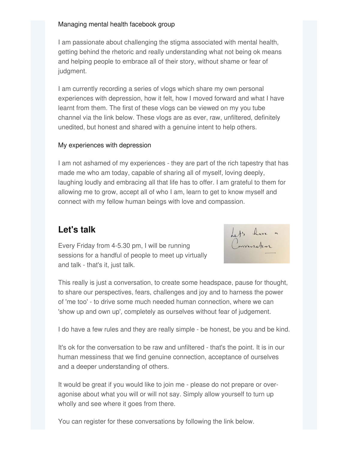#### [Managing](https://www.facebook.com/groups/294231208611733) mental health facebook group

I am passionate about challenging the stigma associated with mental health, getting behind the rhetoric and really understanding what not being ok means and helping people to embrace all of their story, without shame or fear of judgment.

I am currently recording a series of vlogs which share my own personal experiences with depression, how it felt, how I moved forward and what I have learnt from them. The first of these vlogs can be viewed on my you tube channel via the link below. These vlogs are as ever, raw, unfiltered, definitely unedited, but honest and shared with a genuine intent to help others.

#### My [experiences](https://youtu.be/48Fa4T0VSSc) with depression

I am not ashamed of my experiences - they are part of the rich tapestry that has made me who am today, capable of sharing all of myself, loving deeply, laughing loudly and embracing all that life has to offer. I am grateful to them for allowing me to grow, accept all of who I am, learn to get to know myself and connect with my fellow human beings with love and compassion.

## **Let's talk**

Every Friday from 4-5.30 pm, I will be running sessions for a handful of people to meet up virtually and talk - that's it, just talk.



This really is just a conversation, to create some headspace, pause for thought, to share our perspectives, fears, challenges and joy and to harness the power of 'me too' - to drive some much needed human connection, where we can 'show up and own up', completely as ourselves without fear of judgement.

I do have a few rules and they are really simple - be honest, be you and be kind.

It's ok for the conversation to be raw and unfiltered - that's the point. It is in our human messiness that we find genuine connection, acceptance of ourselves and a deeper understanding of others.

It would be great if you would like to join me - please do not prepare or overagonise about what you will or will not say. Simply allow yourself to turn up wholly and see where it goes from there.

You can register for these conversations by following the link below.